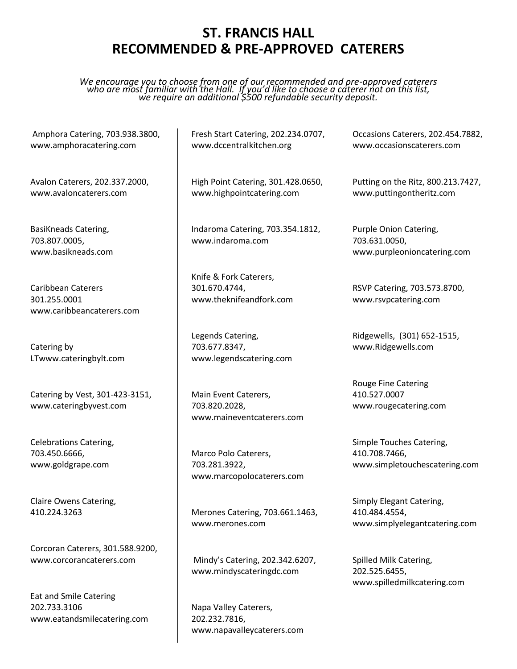## **ST. FRANCIS HALL RECOMMENDED & PRE-APPROVED CATERERS**

*We encourage you to choose from one of our recommended and pre-approved caterers who are most familiar with the Hall. If you'd like to choose a caterer not on this list, we require an additional \$500 refundable security deposit.*

Amphora Catering, 703.938.3800, www.amphoracatering.com

Avalon Caterers, 202.337.2000, www.avaloncaterers.com

BasiKneads Catering, 703.807.0005, [www.basikneads.com](http://www.basikneads.com/)

Caribbean Caterers 301.255.0001 [www.caribbeancaterers.com](http://www.caribbeancaterers.com/)

Catering by LTwww.cateringbylt.com

Catering by Vest, 301-423-3151, www.cateringbyvest.com

Celebrations Catering, 703.450.6666, www.goldgrape.com

Claire Owens Catering, 410.224.3263

Corcoran Caterers, 301.588.9200, [www.corcorancaterers.com](http://www.corcorancaterers.com/)

Eat and Smile Catering 202.733.3106 www.eatandsmilecatering.com Fresh Start Catering, 202.234.0707, www.dccentralkitchen.org

High Point Catering, 301.428.0650, www.highpointcatering.com

Indaroma Catering, 703.354.1812, www.indaroma.com

Knife & Fork Caterers, 301.670.4744, www.theknifeandfork.com

Legends Catering, 703.677.8347, www.legendscatering.com

Main Event Caterers, 703.820.2028, www.maineventcaterers.com

Marco Polo Caterers, 703.281.3922, www.marcopolocaterers.com

Merones Catering, 703.661.1463, www.merones.com

Mindy's Catering, 202.342.6207, www.mindyscateringdc.com

Napa Valley Caterers, 202.232.7816, www.napavalleycaterers.com Occasions Caterers, 202.454.7882, www.occasionscaterers.com

Putting on the Ritz, 800.213.7427, www.puttingontheritz.com

Purple Onion Catering, 703.631.0050, www.purpleonioncatering.com

RSVP Catering, 703.573.8700, www.rsvpcatering.com

Ridgewells, (301) 652-1515, [www.Ridgewells.com](http://www.ridgewells.com/)

Rouge Fine Catering 410.527.0007 www.rougecatering.com

Simple Touches Catering, 410.708.7466, www.simpletouchescatering.com

Simply Elegant Catering, 410.484.4554, www.simplyelegantcatering.com

Spilled Milk Catering, 202.525.6455, www.spilledmilkcatering.com